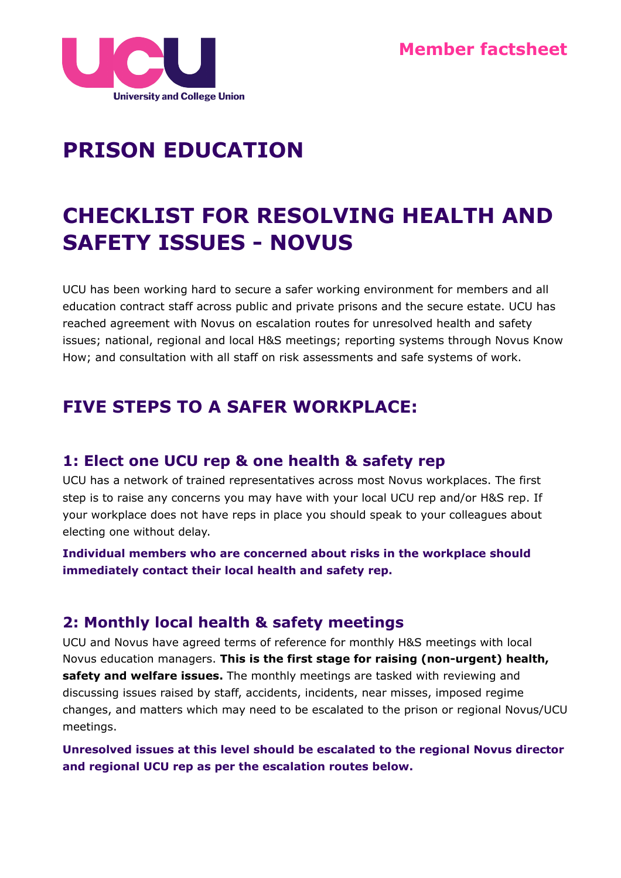

# **PRISON EDUCATION**

## **CHECKLIST FOR RESOLVING HEALTH AND SAFETY ISSUES - NOVUS**

UCU has been working hard to secure a safer working environment for members and all education contract staff across public and private prisons and the secure estate. UCU has reached agreement with Novus on escalation routes for unresolved health and safety issues; national, regional and local H&S meetings; reporting systems through Novus Know How; and consultation with all staff on risk assessments and safe systems of work.

### **FIVE STEPS TO A SAFER WORKPLACE:**

#### **1: Elect one UCU rep & one health & safety rep**

UCU has a network of trained representatives across most Novus workplaces. The first step is to raise any concerns you may have with your local UCU rep and/or H&S rep. If your workplace does not have reps in place you should speak to your colleagues about electing one without delay.

**Individual members who are concerned about risks in the workplace should immediately contact their local health and safety rep.**

#### **2: Monthly local health & safety meetings**

UCU and Novus have agreed terms of reference for monthly H&S meetings with local Novus education managers. **This is the first stage for raising (non-urgent) health, safety and welfare issues.** The monthly meetings are tasked with reviewing and discussing issues raised by staff, accidents, incidents, near misses, imposed regime changes, and matters which may need to be escalated to the prison or regional Novus/UCU meetings.

**Unresolved issues at this level should be escalated to the regional Novus director and regional UCU rep as per the escalation routes below.**